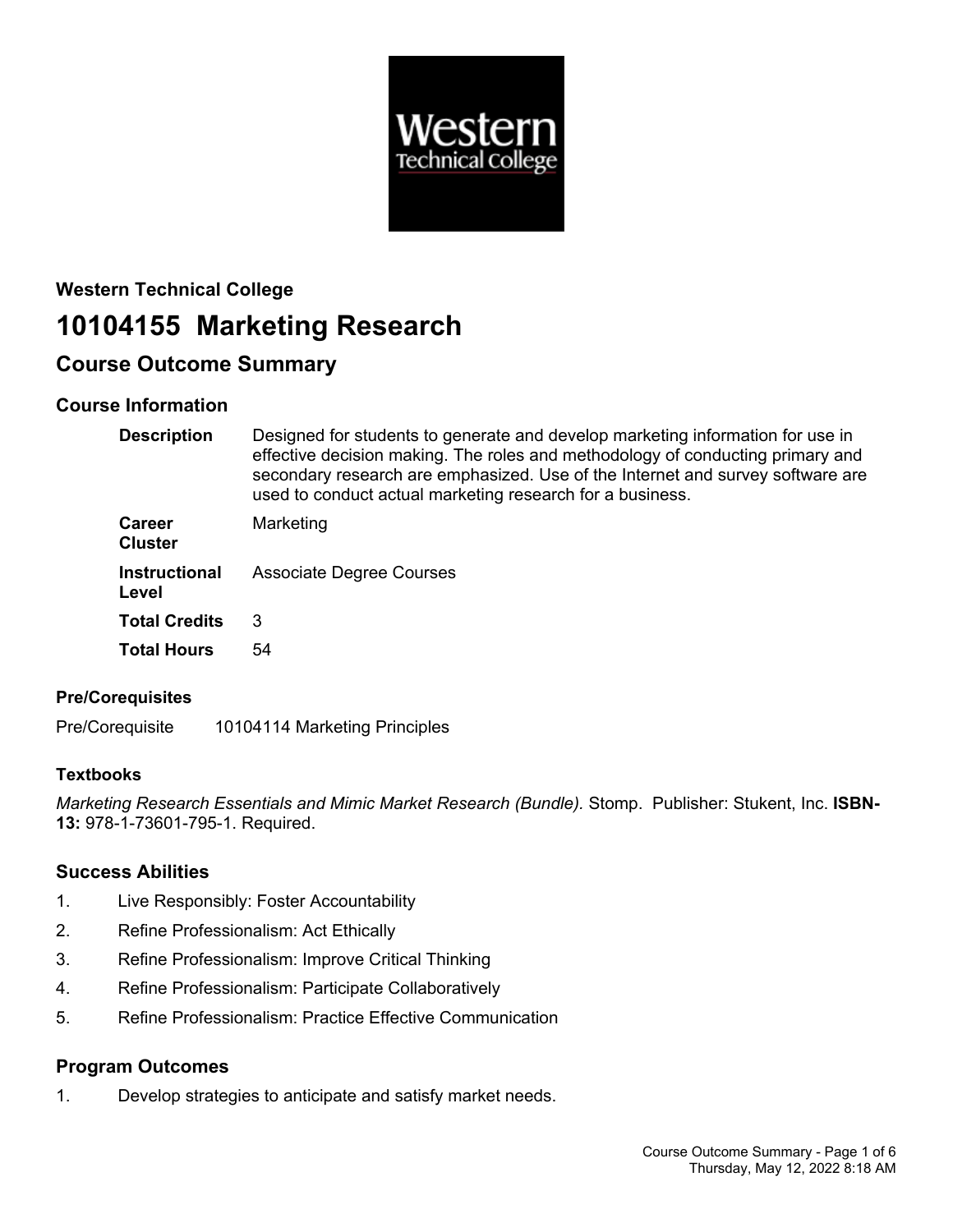

# **Western Technical College 10104155 Marketing Research**

## **Course Outcome Summary**

## **Course Information**

| <b>Description</b>              | Designed for students to generate and develop marketing information for use in<br>effective decision making. The roles and methodology of conducting primary and<br>secondary research are emphasized. Use of the Internet and survey software are<br>used to conduct actual marketing research for a business. |
|---------------------------------|-----------------------------------------------------------------------------------------------------------------------------------------------------------------------------------------------------------------------------------------------------------------------------------------------------------------|
| <b>Career</b><br><b>Cluster</b> | Marketing                                                                                                                                                                                                                                                                                                       |
| <b>Instructional</b><br>Level   | <b>Associate Degree Courses</b>                                                                                                                                                                                                                                                                                 |
| <b>Total Credits</b>            | 3                                                                                                                                                                                                                                                                                                               |
| <b>Total Hours</b>              | 54                                                                                                                                                                                                                                                                                                              |

## **Pre/Corequisites**

Pre/Corequisite 10104114 Marketing Principles

## **Textbooks**

*Marketing Research Essentials and Mimic Market Research (Bundle).* Stomp. Publisher: Stukent, Inc. **ISBN-13:** 978-1-73601-795-1. Required.

## **Success Abilities**

- 1. Live Responsibly: Foster Accountability
- 2. Refine Professionalism: Act Ethically
- 3. Refine Professionalism: Improve Critical Thinking
- 4. Refine Professionalism: Participate Collaboratively
- 5. Refine Professionalism: Practice Effective Communication

## **Program Outcomes**

1. Develop strategies to anticipate and satisfy market needs.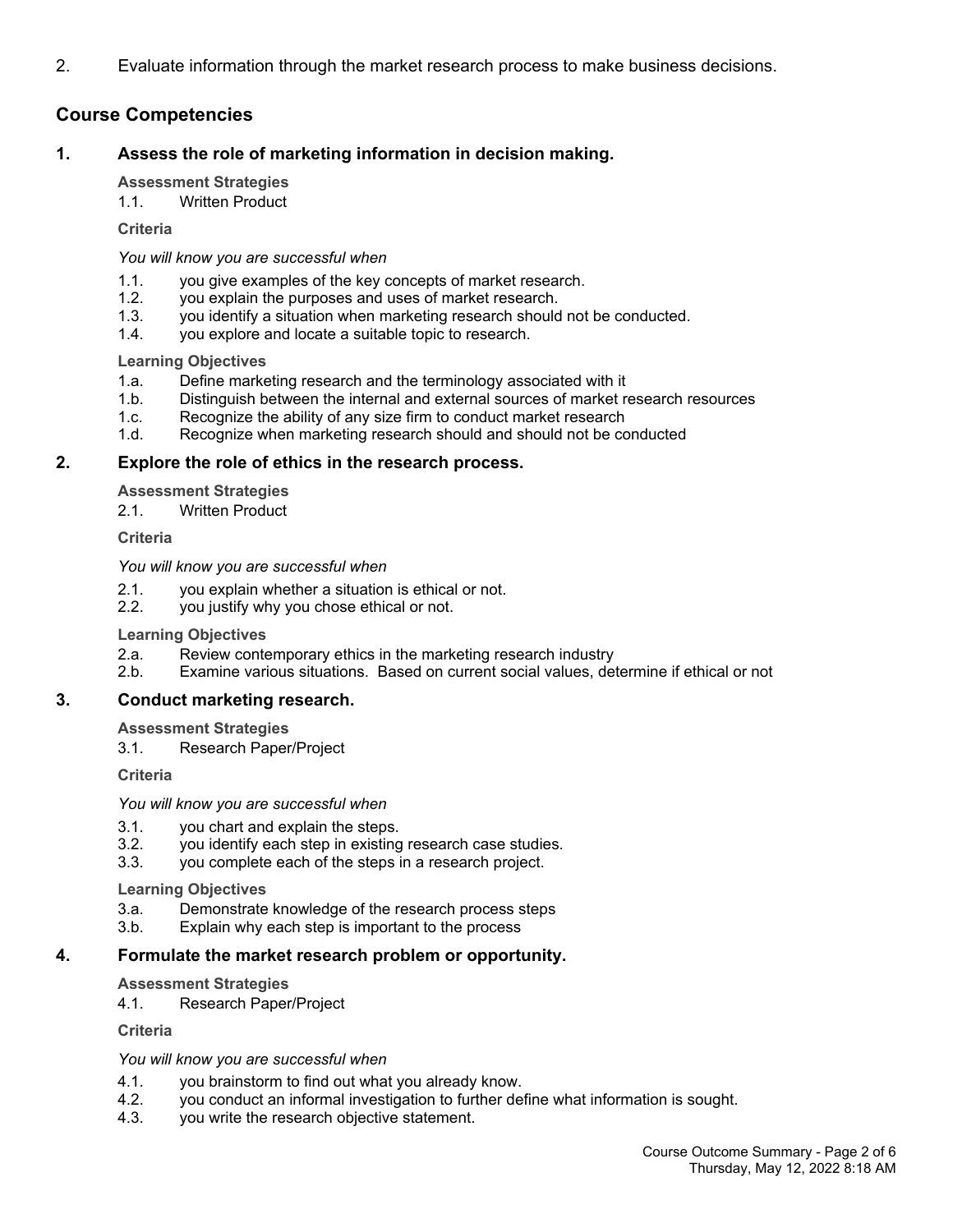2. Evaluate information through the market research process to make business decisions.

## **Course Competencies**

## **1. Assess the role of marketing information in decision making.**

#### **Assessment Strategies**

1.1. Written Product

#### **Criteria**

*You will know you are successful when*

- 1.1. you give examples of the key concepts of market research.
- 1.2. you explain the purposes and uses of market research.
- 1.3. you identify a situation when marketing research should not be conducted.
- 1.4. you explore and locate a suitable topic to research.

#### **Learning Objectives**

- 1.a. Define marketing research and the terminology associated with it
- 1.b. Distinguish between the internal and external sources of market research resources
- 1.c. Recognize the ability of any size firm to conduct market research
- 1.d. Recognize when marketing research should and should not be conducted

## **2. Explore the role of ethics in the research process.**

**Assessment Strategies**

2.1. Written Product

**Criteria**

*You will know you are successful when*

- 2.1. you explain whether a situation is ethical or not.<br>2.2. vou justify why you chose ethical or not.
- you justify why you chose ethical or not.

#### **Learning Objectives**

- 2.a. Review contemporary ethics in the marketing research industry
- 2.b. Examine various situations. Based on current social values, determine if ethical or not

## **3. Conduct marketing research.**

**Assessment Strategies**

3.1. Research Paper/Project

**Criteria**

*You will know you are successful when*

- 3.1. you chart and explain the steps.
- 3.2. you identify each step in existing research case studies.
- 3.3. you complete each of the steps in a research project.

#### **Learning Objectives**

- 3.a. Demonstrate knowledge of the research process steps
- 3.b. Explain why each step is important to the process

## **4. Formulate the market research problem or opportunity.**

#### **Assessment Strategies**

4.1. Research Paper/Project

**Criteria**

#### *You will know you are successful when*

- 4.1. you brainstorm to find out what you already know.
- 4.2. you conduct an informal investigation to further define what information is sought.
- 4.3. you write the research objective statement.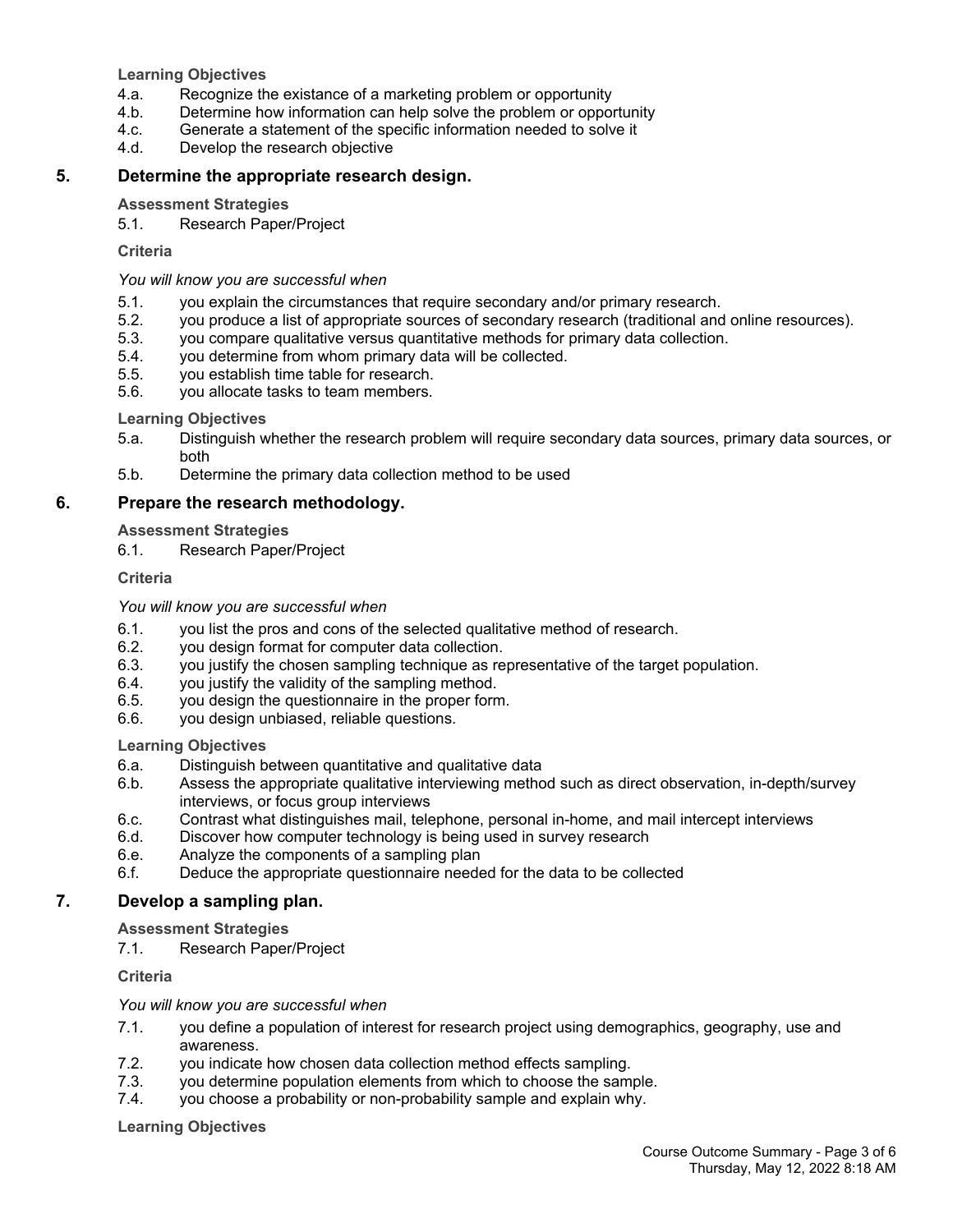**Learning Objectives**

- 4.a. Recognize the existance of a marketing problem or opportunity
- 4.b. Determine how information can help solve the problem or opportunity
- 4.c. Generate a statement of the specific information needed to solve it
- 4.d. Develop the research objective

#### **5. Determine the appropriate research design.**

#### **Assessment Strategies**

5.1. Research Paper/Project

#### **Criteria**

#### *You will know you are successful when*

- 5.1. you explain the circumstances that require secondary and/or primary research.
- 5.2. you produce a list of appropriate sources of secondary research (traditional and online resources).
- 5.3. you compare qualitative versus quantitative methods for primary data collection.
- 5.4. you determine from whom primary data will be collected.
- 5.5. you establish time table for research.
- 5.6. you allocate tasks to team members.

#### **Learning Objectives**

- 5.a. Distinguish whether the research problem will require secondary data sources, primary data sources, or both
- 5.b. Determine the primary data collection method to be used

## **6. Prepare the research methodology.**

#### **Assessment Strategies**

6.1. Research Paper/Project

#### **Criteria**

#### *You will know you are successful when*

- 6.1. you list the pros and cons of the selected qualitative method of research.
- 6.2. you design format for computer data collection.
- 6.3. you justify the chosen sampling technique as representative of the target population.
- 6.4. you justify the validity of the sampling method.
- 6.5. you design the questionnaire in the proper form.
- 6.6. you design unbiased, reliable questions.

## **Learning Objectives**

- 6.a. Distinguish between quantitative and qualitative data
- 6.b. Assess the appropriate qualitative interviewing method such as direct observation, in-depth/survey interviews, or focus group interviews
- 6.c. Contrast what distinguishes mail, telephone, personal in-home, and mail intercept interviews
- 6.d. Discover how computer technology is being used in survey research
- 6.e. Analyze the components of a sampling plan
- 6.f. Deduce the appropriate questionnaire needed for the data to be collected

## **7. Develop a sampling plan.**

## **Assessment Strategies**

7.1. Research Paper/Project

**Criteria**

#### *You will know you are successful when*

- 7.1. you define a population of interest for research project using demographics, geography, use and awareness.
- 7.2. you indicate how chosen data collection method effects sampling.
- 7.3. you determine population elements from which to choose the sample.
- 7.4. you choose a probability or non-probability sample and explain why.

#### **Learning Objectives**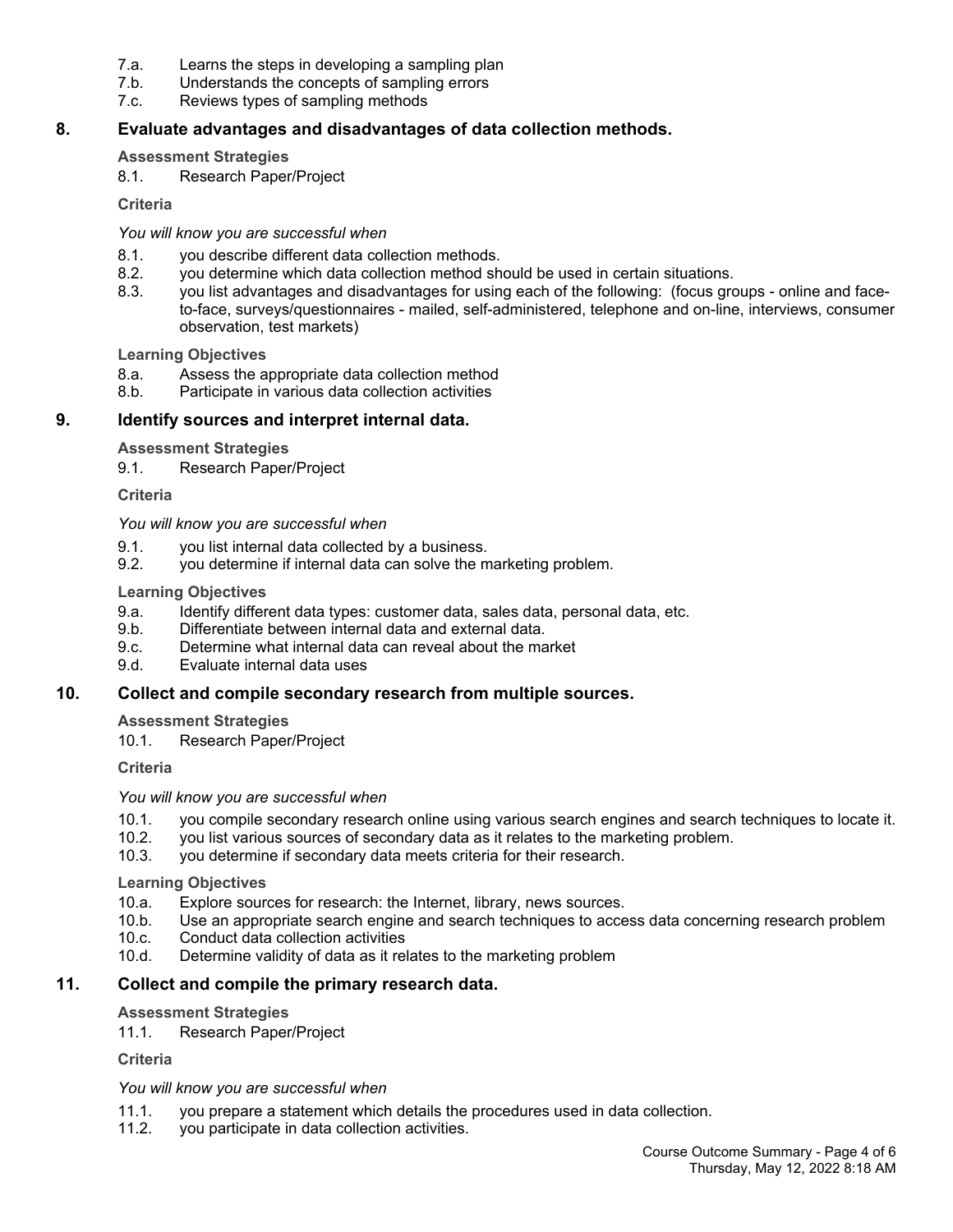- 7.a. Learns the steps in developing a sampling plan
- 7.b. Understands the concepts of sampling errors
- 7.c. Reviews types of sampling methods

## **8. Evaluate advantages and disadvantages of data collection methods.**

#### **Assessment Strategies**

8.1. Research Paper/Project

**Criteria**

#### *You will know you are successful when*

- 8.1. you describe different data collection methods.
- 8.2. you determine which data collection method should be used in certain situations.
- 8.3. you list advantages and disadvantages for using each of the following: (focus groups online and faceto-face, surveys/questionnaires - mailed, self-administered, telephone and on-line, interviews, consumer observation, test markets)

#### **Learning Objectives**

- 8.a. Assess the appropriate data collection method
- 8.b. Participate in various data collection activities

## **9. Identify sources and interpret internal data.**

#### **Assessment Strategies**

9.1. Research Paper/Project

**Criteria**

*You will know you are successful when*

- 9.1. you list internal data collected by a business.
- 9.2. you determine if internal data can solve the marketing problem.

#### **Learning Objectives**

- 9.a. Identify different data types: customer data, sales data, personal data, etc.
- 9.b. Differentiate between internal data and external data.
- 9.c. Determine what internal data can reveal about the market
- 9.d. Evaluate internal data uses

#### **10. Collect and compile secondary research from multiple sources.**

#### **Assessment Strategies**

10.1. Research Paper/Project

#### **Criteria**

#### *You will know you are successful when*

- 10.1. you compile secondary research online using various search engines and search techniques to locate it.
- 10.2. you list various sources of secondary data as it relates to the marketing problem.
- 10.3. you determine if secondary data meets criteria for their research.

#### **Learning Objectives**

- 10.a. Explore sources for research: the Internet, library, news sources.
- 10.b. Use an appropriate search engine and search techniques to access data concerning research problem
- 10.c. Conduct data collection activities
- 10.d. Determine validity of data as it relates to the marketing problem

## **11. Collect and compile the primary research data.**

#### **Assessment Strategies**

11.1. Research Paper/Project

**Criteria**

#### *You will know you are successful when*

- 11.1. you prepare a statement which details the procedures used in data collection.
- 11.2. you participate in data collection activities.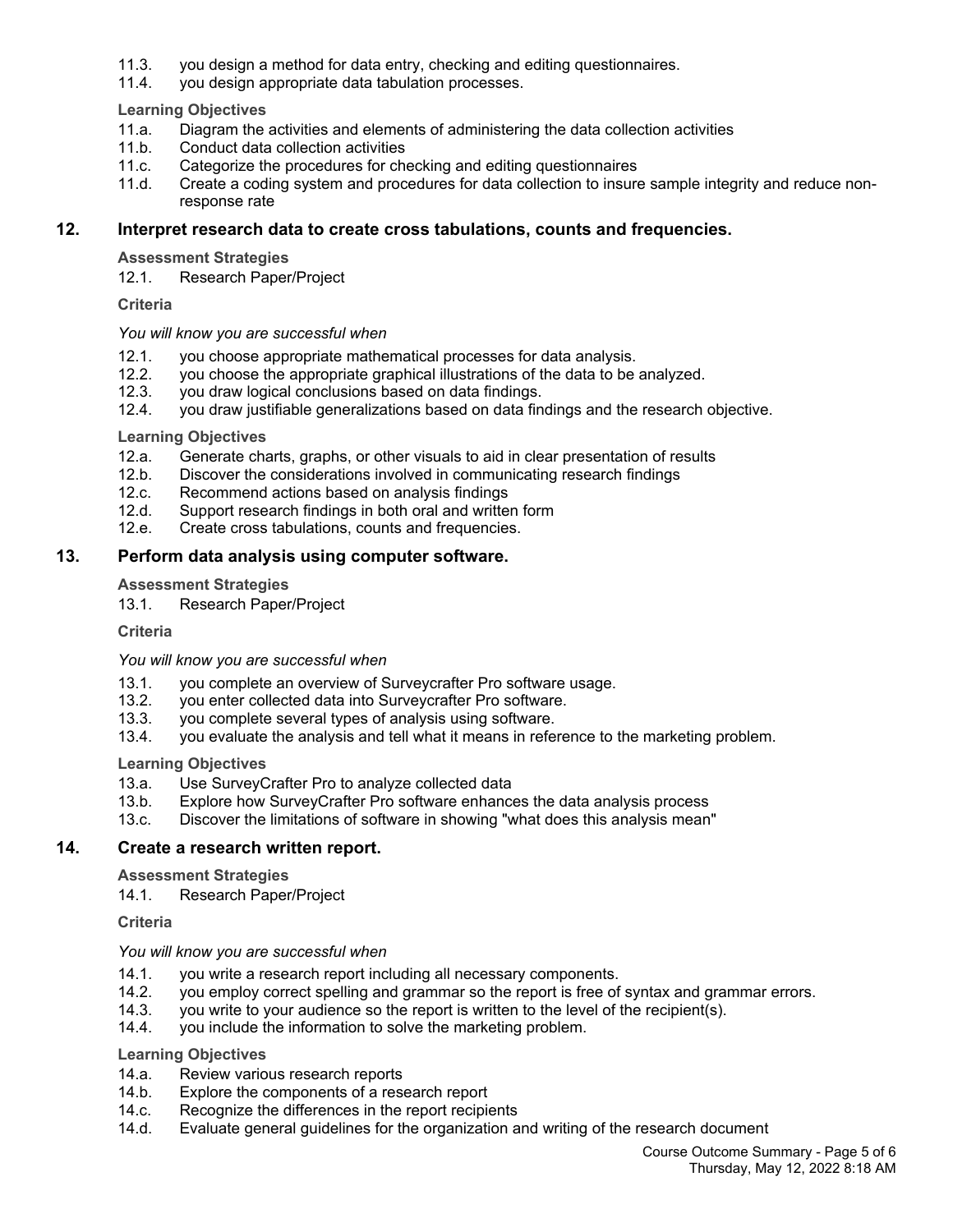- 11.3. you design a method for data entry, checking and editing questionnaires.
- 11.4. you design appropriate data tabulation processes.

**Learning Objectives**

- 11.a. Diagram the activities and elements of administering the data collection activities
- 11.b. Conduct data collection activities
- 11.c. Categorize the procedures for checking and editing questionnaires
- 11.d. Create a coding system and procedures for data collection to insure sample integrity and reduce nonresponse rate

#### **12. Interpret research data to create cross tabulations, counts and frequencies.**

**Assessment Strategies**

12.1. Research Paper/Project

#### **Criteria**

#### *You will know you are successful when*

- 12.1. you choose appropriate mathematical processes for data analysis.
- 12.2. you choose the appropriate graphical illustrations of the data to be analyzed.
- 12.3. you draw logical conclusions based on data findings.
- 12.4. you draw justifiable generalizations based on data findings and the research objective.

#### **Learning Objectives**

- 12.a. Generate charts, graphs, or other visuals to aid in clear presentation of results
- 12.b. Discover the considerations involved in communicating research findings
- 12.c. Recommend actions based on analysis findings
- 12.d. Support research findings in both oral and written form
- 12.e. Create cross tabulations, counts and frequencies.

#### **13. Perform data analysis using computer software.**

#### **Assessment Strategies**

13.1. Research Paper/Project

#### **Criteria**

#### *You will know you are successful when*

- 13.1. you complete an overview of Surveycrafter Pro software usage.<br>13.2. vou enter collected data into Surveycrafter Pro software.
- you enter collected data into Surveycrafter Pro software.
- 13.3. you complete several types of analysis using software.
- 13.4. you evaluate the analysis and tell what it means in reference to the marketing problem.

## **Learning Objectives**

- 13.a. Use SurveyCrafter Pro to analyze collected data
- 13.b. Explore how SurveyCrafter Pro software enhances the data analysis process
- 13.c. Discover the limitations of software in showing "what does this analysis mean"

## **14. Create a research written report.**

#### **Assessment Strategies**

14.1. Research Paper/Project

#### **Criteria**

#### *You will know you are successful when*

- 14.1. you write a research report including all necessary components.<br>14.2. vou emplov correct spelling and grammar so the report is free of
- 14.2. you employ correct spelling and grammar so the report is free of syntax and grammar errors.<br>14.3. vou write to vour audience so the report is written to the level of the recipient(s).
- you write to your audience so the report is written to the level of the recipient(s).
- 14.4. you include the information to solve the marketing problem.

## **Learning Objectives**

- 14.a. Review various research reports
- 14.b. Explore the components of a research report
- 14.c. Recognize the differences in the report recipients
- 14.d. Evaluate general guidelines for the organization and writing of the research document